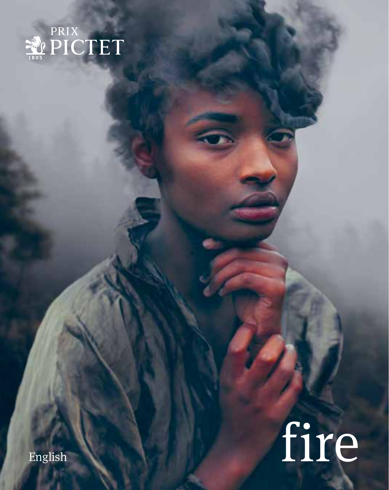

# English fire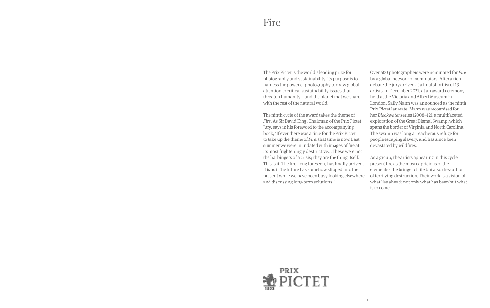The Prix Pictet is the world's leading prize for photography and sustainability. Its purpose is to harness the power of photography to draw global attention to critical sustainability issues that threaten humanity – and the planet that we share with the rest of the natural world.

The ninth cycle of the award takes the theme of *Fire*. As Sir David King, Chairman of the Prix Pictet Jury, says in his foreword to the accompanying book, 'If ever there was a time for the Prix Pictet to take up the theme of *Fire*, that time is now. Last summer we were inundated with images of fire at its most frighteningly destructive... These were not the harbingers of a crisis; they are the thing itself. This is it. The fire, long foreseen, has finally arrived. It is as if the future has somehow slipped into the present while we have been busy looking elsewhere and discussing long-term solutions.'

Over 600 photographers were nominated for *Fire* by a global network of nominators. After a rich debate the jury arrived at a final shortlist of 13 artists. In December 2021, at an award ceremony held at the Victoria and Albert Museum in London, Sally Mann was announced as the ninth Prix Pictet laureate. Mann was recognised for her *Blackwater* series (2008–12), a multifaceted exploration of the Great Dismal Swamp, which spans the border of Virginia and North Carolina. The swamp was long a treacherous refuge for people escaping slavery, and has since been devastated by wildfires.

As a group, the artists appearing in this cycle present fire as the most capricious of the elements - the bringer of life but also the author of terrifying destruction. Their work is a vision of what lies ahead: not only what has been but what is to come.

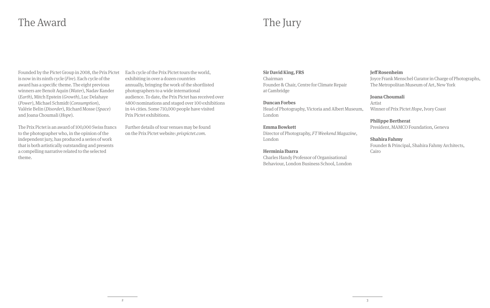### The Award

### The Jury

Founded by the Pictet Group in 2008, the Prix Pictet is now in its ninth cycle (*Fire*). Each cycle of the award has a specific theme. The eight previous winners are Benoît Aquin (*Water*), Nadav Kander (*Earth*), Mitch Epstein (*Growth*), Luc Delahaye (*Power*), Michael Schmidt (*Consumption*), Valérie Belin (*Disorder*), Richard Mosse (*Space*) and Joana Choumali (*Hope*).

The Prix Pictet is an award of 100,000 Swiss francs to the photographer who, in the opinion of the independent jury, has produced a series of work that is both artistically outstanding and presents a compelling narrative related to the selected theme.

Each cycle of the Prix Pictet tours the world, exhibiting in over a dozen countries annually, bringing the work of the shortlisted photographers to a wide international audience. To date, the Prix Pictet has received over 4800 nominations and staged over 100 exhibitions in 44 cities. Some 710,000 people have visited Prix Pictet exhibitions.

Further details of tour venues may be found on the Prix Pictet website: *prixpictet.com.*

#### **Sir David King, FRS**

Chairman Founder & Chair, Centre for Climate Repair at Cambridge

#### **Duncan Forbes**

Head of Photography, Victoria and Albert Museum, London

#### **Emma Bowkett**

Director of Photography, *FT Weekend Magazine*, London

#### **Herminia Ibarra**

Charles Handy Professor of Organisational Behaviour, London Business School, London

#### **Jeff Rosenheim**

Joyce Frank Menschel Curator in Charge of Photographs, The Metropolitan Museum of Art, New York

#### **Joana Choumali**

Artist Winner of Prix Pictet *Hope*, Ivory Coast

**Philippe Bertherat**  President, MAMCO Foundation, Geneva

#### **Shahira Fahmy**

Founder & Principal, Shahira Fahmy Architects, Cairo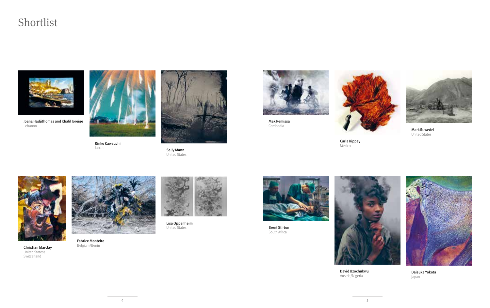### Shortlist



Joana Hadjithomas and Khalil Joreige Lebanon



**Rinko Kawauchi**<br>Japan



Sally Mann United States



Mak Remissa Cambodia





Mark Ruwedel United States

Carla Rippey Mexico





**Christian Marclay**<br>United States/ Switzerland



Fabrice Monteiro Belgium/Benin



Lisa Oppenheim United States



Brent Stirton South Africa





David Uzochukwu Austria/Nigeria

Daisuke Yokota Japan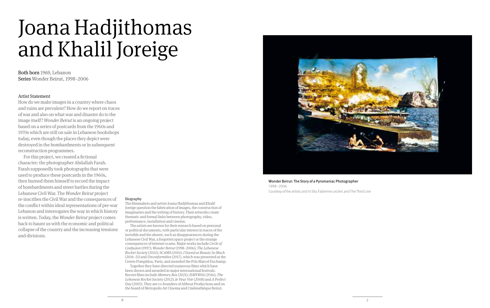### Joana Hadjithomas and Khalil Joreige

Both born 1969, Lebanon Series Wonder Beirut, 1998–2006

#### Artist Statement

How do we make images in a country where chaos and ruins are prevalent? How do we report on traces of war and also on what war and disaster do to the image itself? *Wonder Beirut* is an ongoing project based on a series of postcards from the 1960s and 1970s which are still on sale in Lebanese bookshops today, even though the places they depict were destroyed in the bombardments or in subsequent reconstruction programmes.

For this project, we created a fictional character: the photographer Abdallah Farah. Farah supposedly took photographs that were used to produce these postcards in the 1960s, then burned them himself to record the impact of bombardments and street battles during the Lebanese Civil War. The *Wonder Beirut* project re-inscribes the Civil War and the consequences of the conflict within ideal representations of pre-war Lebanon and interrogates the way in which history is written. Today, the *Wonder Beirut* project comes back to haunt us with the economic and political collapse of the country and the increasing tensions and divisions.

#### Biography

The filmmakers and artists Joana Hadjithomas and Khalil Joreige question the fabrication of images, the construction of imaginaries and the writing of history. Their artworks create thematic and formal links between photography, video, performance, installation and cinema.

The artists are known for their research based on personal or political documents, with particular interest in traces of the invisible and the absent, such as disappearances during the Lebanese Civil War, a forgotten space project or the strange consequences of internet scams. Major works include *Circle of Confusion* (1997); *Wonder Beirut* (1998–2006); *The Lebanese Rocket Society* (2012); SCAMS (2014); *I Stared at Beauty So Much* (2016–21) and *Unconformities* (2017), which was presented at the Centre Pompidou, Paris, and awarded the Prix Marcel Duchamp.

Together they have directed numerous films which have been shown and awarded in major international festivals. Recent films include *Memory Box* (2021); *ISMYRNA* (2016); *The Lebanese Rocket Society* (2012); *Je Veux Voir* (2008) and *A Perfect Day* (2005). They are co-founders of Abbout Productions and on the board of Metropolis Art Cinema and Cinémathèque Beirut.



Wonder Beirut: The Story of a Pyromaniac Photographer 1998–2006 Courtesy of the artists and In Situ Fabienne Leclerc and The Third Line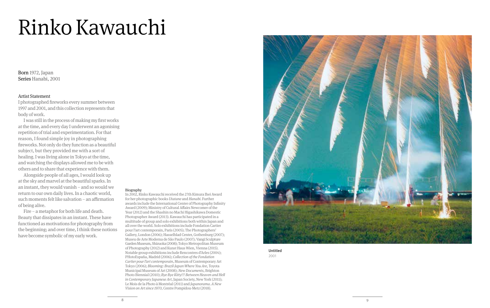## Rinko Kawauchi

Born 1972, Japan Series Hanabi, 2001

#### Artist Statement

I photographed fireworks every summer between 1997 and 2001, and this collection represents that body of work.

I was still in the process of making my first works at the time, and every day I underwent an agonising repetition of trial and experimentation. For that reason, I found simple joy in photographing fireworks. Not only do they function as a beautiful subject, but they provided me with a sort of healing. I was living alone in Tokyo at the time, and watching the displays allowed me to be with others and to share that experience with them.

Alongside people of all ages, I would look up at the sky and marvel at the beautiful sparks. In an instant, they would vanish – and so would we return to our own daily lives. In a chaotic world, such moments felt like salvation – an affirmation of being alive.

Fire – a metaphor for both life and death. Beauty that dissipates in an instant. These have functioned as motivations for photography from the beginning; and over time, I think these notions have become symbolic of my early work.

#### Biography

In 2002, Rinko Kawauchi received the 27th Kimura Ihei Award for her photographic books *Utatane* and *Hanabi*. Further awards include the International Center of Photography Infinity Award (2009); Ministry of Cultural Affairs Newcomer of the Year (2012) and the Shashin no Machi Higashikawa Domestic Photographer Award (2013). Kawauchi has participated in a multitude of group and solo exhibitions both within Japan and all over the world. Solo exhibitions include Fondation Cartier pour l'art contemporain, Paris (2005); The Photographers' Gallery, London (2006); Hasselblad Center, Gothenburg (2007); Museu de Arte Moderna de São Paulo (2007); Vangi Sculpture Garden Museum, Shizuoka (2008); Tokyo Metropolitan Museum of Photography (2012) and Kunst Haus Wien, Vienna (2015). Notable group exhibitions include Rencontres d'Arles (2004); PHotoEspaña, Madrid (2006); *Collection of the Fondation Cartier pour l'art contemporain*, Museum of Contemporary Art Tokyo (2006); *Blooming: Brazil-Japan Where You Are*, Toyota Municipal Museum of Art (2008); *New Documents*, Brighton Photo Biennial (2010); *Bye Bye Kitty!!! Between Heaven and Hell in Contemporary Japanese Art*, Japan Society, New York (2011); Le Mois de la Photo à Montréal (2011) and *Japanorama*. *A New Vision on Art since 1970*, Centre Pompidou-Metz (2018).



Untitled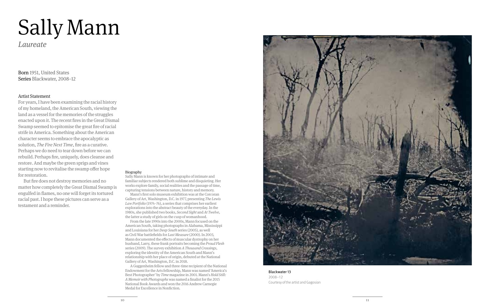## Sally Mann

*Laureate*

Born 1951, United States Series Blackwater, 2008−12

#### Artist Statement

For years, I have been examining the racial history of my homeland, the American South, viewing the land as a vessel for the memories of the struggles enacted upon it. The recent fires in the Great Dismal Swamp seemed to epitomise the great fire of racial strife in America. Something about the American character seems to embrace the apocalyptic as solution, *The Fire Next Time*, fire as a curative. Perhaps we do need to tear down before we can rebuild. Perhaps fire, uniquely, does cleanse and restore. And maybe the green sprigs and vines starting now to revitalise the swamp offer hope for restoration.

But fire does not destroy memories and no matter how completely the Great Dismal Swamp is engulfed in flames, no one will forget its tortured racial past. I hope these pictures can serve as a testament and a reminder.

#### Biography

Sally Mann is known for her photographs of intimate and familiar subjects rendered both sublime and disquieting. Her works explore family, social realities and the passage of time, capturing tensions between nature, history and memory.

Mann's first solo museum exhibition was at the Corcoran Gallery of Art, Washington, D.C. in 1977, presenting *The Lewis Law Portfolio* (1974–76), a series that comprises her earliest explorations into the abstract beauty of the everyday. In the 1980s, she published two books, *Second Sight* and *At Twelve*, the latter a study of girls on the cusp of womanhood.

From the late 1990s into the 2000s, Mann focused on the American South, taking photographs in Alabama, Mississippi and Louisiana for her *Deep South* series (2005), as well as Civil War battlefields for *Last Measure* (2000). In 2003, Mann documented the effects of muscular dystrophy on her husband, Larry, these frank portraits becoming the *Proud Flesh* series (2009). The survey exhibition *A Thousand Crossings*, exploring the identity of the American South and Mann's relationship with her place of origin, debuted at the National Gallery of Art, Washington, D.C. in 2018.

A Guggenheim fellow and three-time recipient of the National Endowment for the Arts fellowship, Mann was named 'America's Best Photographer' by *Time* magazine in 2001. Mann's *Hold Still: A Memoir with Photographs* was named a finalist for the 2015 National Book Awards and won the 2016 Andrew Carnegie Medal for Excellence in Nonfiction.



Blackwater 13 2008–12 Courtesy of the artist and Gagosian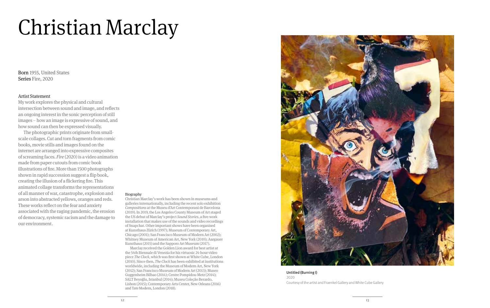## Christian Marclay

Born 1955, United States Series Fire, 2020

#### Artist Statement

My work explores the physical and cultural intersection between sound and image, and reflects an ongoing interest in the sonic perception of still images – how an image is expressive of sound, and how sound can then be expressed visually.

The photographic prints originate from smallscale collages. Cut and torn fragments from comic books, movie stills and images found on the internet are arranged into expressive composites of screaming faces. *Fire* (2020) is a video animation made from paper cutouts from comic book illustrations of fire. More than 1500 photographs shown in rapid succession suggest a flip book, creating the illusion of a flickering fire. This animated collage transforms the representations of all manner of war, catastrophe, explosion and arson into abstracted yellows, oranges and reds. These works reflect on the fear and anxiety associated with the raging pandemic, the erosion of democracy, systemic racism and the damage to our environment.

#### Biography

Christian Marclay's work has been shown in museums and galleries internationally, including the recent solo exhibition *Compositions* at the Museu d'Art Contemporani de Barcelona (2019). In 2019, the Los Angeles County Museum of Art staged the US debut of Marclay's project *Sound Stories*, a five-work installation that makes use of the sounds and video recordings of Snapchat. Other important shows have been organised at Kunsthaus Zürich (1997); Museum of Contemporary Art, Chicago (2001); San Francisco Museum of Modern Art (2002); Whitney Museum of American Art, New York (2010); Aargauer Kunsthaus (2015) and the Sapporo Art Museum (2017).

Marclay received the Golden Lion award for best artist at the 54th Biennale di Venezia for his virtuosic 24-hour video piece *The Clock*, which was first shown at White Cube, London (2010). Since then, *The Clock* has been exhibited at institutions worldwide, including the Museum of Modern Art, New York (2012); San Francisco Museum of Modern Art (2013); Museo Guggenheim Bilbao (2014); Centre Pompidou-Metz (2014); SALT Beyoğlu, Istanbul (2014); Museu Coleção Berardo, Lisbon (2015); Contemporary Arts Center, New Orleans (2016) and Tate Modern, London (2018).



Untitled (Burning I) 2020 Courtesy of the artist and Fraenkel Gallery and White Cube Gallery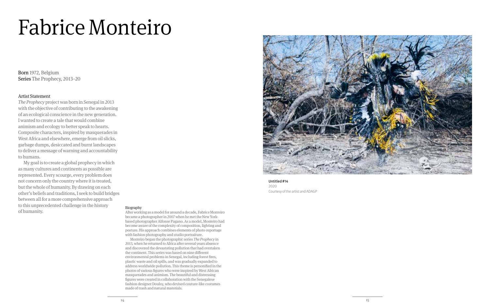## Fabrice Monteiro

Born 1972, Belgium Series The Prophecy, 2013−20

#### Artist Statement

*The Prophecy* project was born in Senegal in 2013 with the objective of contributing to the awakening of an ecological conscience in the new generation. I wanted to create a tale that would combine animism and ecology to better speak to hearts. Composite characters, inspired by masquerades in West Africa and elsewhere, emerge from oil slicks, garbage dumps, desiccated and burnt landscapes to deliver a message of warning and accountability to humans.

My goal is to create a global prophecy in which as many cultures and continents as possible are represented. Every scourge, every problem does not concern only the country where it is treated, but the whole of humanity. By drawing on each other's beliefs and traditions, I seek to build bridges between all for a more comprehensive approach to this unprecedented challenge in the history of humanity.



Untitled #14 2020 Courtesy of the artist and ADAGP

#### Biography

After working as a model for around a decade, Fabrice Monteiro became a photographer in 2007 when he met the New Yorkbased photographer Alfonse Pagano. As a model, Monteiro had become aware of the complexity of composition, lighting and posture. His approach combines elements of photo-reportage with fashion photography and studio portraiture.

Monteiro began the photographic series *The Prophecy* in 2013, when he returned to Africa after several years absence and discovered the devastating pollution that had overtaken the continent. This series was based on nine different environmental problems in Senegal, including forest fires, plastic waste and oil spills, and was gradually expanded to address worldwide pollution. This theme is personified in the photos of various figures who were inspired by West African masquerades and animism. The beautiful and distressing figures were created in collaboration with the Senegalese fashion designer Doulsy, who devised couture-like costumes made of trash and natural materials.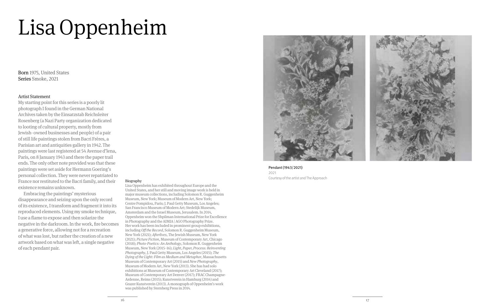## Lisa Oppenheim

Born 1975, United States Series Smoke, 2021

#### Artist Statement

My starting point for this series is a poorly lit photograph I found in the German National Archives taken by the Einsatzstab Reichsleiter Rosenberg (a Nazi Party organization dedicated to looting of cultural property, mostly from Jewish- owned businesses and people) of a pair of still life paintings stolen from Bacri Frères, a Parisian art and antiquities gallery in 1942. The paintings were last registered at 54 Avenue d'lena, Paris, on 8 January 1943 and there the paper trail ends. The only other note provided was that these paintings were set aside for Hermann Goering's personal collection. They were never repatriated to France nor restituted to the Bacri family, and their existence remains unknown.

Embracing the paintings' mysterious disappearance and seizing upon the only record of its existence, I transform and fragment it into its reproduced elements. Using my smoke technique, I use a flame to expose and then solarize the negative in the darkroom. In the work, fire becomes a generative force, allowing not for a recreation of what was lost, but rather the creation of a new artwork based on what was left, a single negative of each pendant pair.



Lisa Oppenheim has exhibited throughout Europe and the United States, and her still and moving image work is held in major museum collections, including Solomon R. Guggenheim Museum, New York; Museum of Modern Art, New York; Centre Pompidou, Paris; J. Paul Getty Museum, Los Angeles; San Francisco Museum of Modern Art; Stedelijk Museum, Amsterdam and the Israel Museum, Jerusalem. In 2014, Oppenheim won the Shpilman International Prize for Excellence in Photography and the AIMIA | AGO Photography Prize. Her work has been included in prominent group exhibitions, including *Off the Record*, Solomon R. Guggenheim Museum, New York (2021); *Afterlives*, The Jewish Museum, New York (2021); *Picture Fiction*, Museum of Contemporary Art, Chicago (2018); *Photo-Poetics: An Anthology*, Solomon R. Guggenheim Museum, New York (2015–16); *Light, Paper, Process: Reinventing Photography*, J. Paul Getty Museum, Los Angeles (2015); *The Dying of the Light: Film as Medium and Metaphor*, Massachusetts Museum of Contemporary Art (2015) and *New Photography*, Museum of Modern Art, New York (2013). She has had solo exhibitions at Museum of Contemporary Art Cleveland (2017); Museum of Contemporary Art Denver (2017); FRAC Champagne-Ardenne, Reims (2015); Kunstverein in Hamburg (2014) and Grazer Kunstverein (2013). A monograph of Oppenheim's work was published by Sternberg Press in 2014.



Pendant (1943/2021) 2021 Courtesy of the artist and The Approach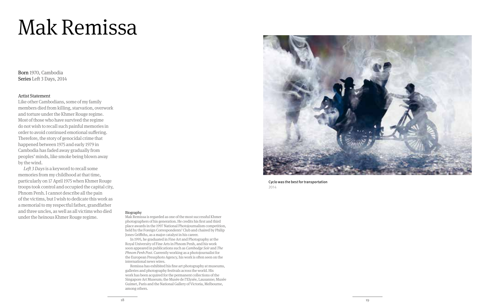## Mak Remissa

Born 1970, Cambodia Series Left 3 Days, 2014

#### Artist Statement

Like other Cambodians, some of my family members died from killing, starvation, overwork and torture under the Khmer Rouge regime. Most of those who have survived the regime do not wish to recall such painful memories in order to avoid continued emotional suffering. Therefore, the story of genocidal crime that happened between 1975 and early 1979 in Cambodia has faded away gradually from peoples' minds, like smoke being blown away by the wind.

*Left 3 Days* is a keyword to recall some memories from my childhood at that time, particularly on 17 April 1975 when Khmer Rouge troops took control and occupied the capital city, Phnom Penh. I cannot describe all the pain of the victims, but I wish to dedicate this work as a memorial to my respectful father, grandfather and three uncles, as well as all victims who died under the heinous Khmer Rouge regime.

Cyclo was the best for transportation 2014

#### Biography

Mak Remissa is regarded as one of the most successful Khmer photographers of his generation. He credits his first and third place awards in the 1997 National Photojournalism competition, held by the Foreign Correspondents' Club and chaired by Philip Jones Griffiths, as a major catalyst in his career.

In 1995, he graduated in Fine Art and Photography at the Royal University of Fine Arts in Phnom Penh, and his work soon appeared in publications such as *Cambodge Soir* and *The Phnom Penh Post*. Currently working as a photojournalist for the European Pressphoto Agency, his work is often seen on the international news wires.

Remissa has exhibited his fine art photography at museums, galleries and photography festivals across the world. His work has been acquired for the permanent collections of the Singapore Art Museum; the Musée de l'Elysée, Lausanne; Musée Guimet, Paris and the National Gallery of Victoria, Melbourne, among others.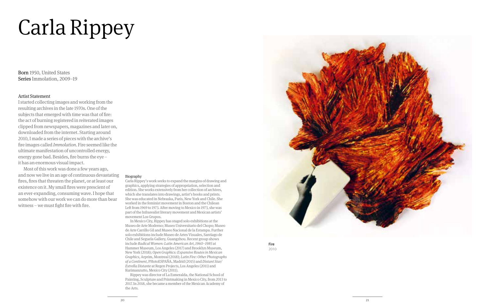## Carla Rippey

Born 1950, United States Series Immolation, 2009–19

#### Artist Statement

I started collecting images and working from the resulting archives in the late 1970s. One of the subjects that emerged with time was that of fire: the act of burning registered in reiterated images clipped from newspapers, magazines and later on, downloaded from the internet. Starting around 2010, I made a series of pieces with the archive's fire images called *Immolation*. Fire seemed like the ultimate manifestation of uncontrolled energy, energy gone bad. Besides, fire burns the eye – it has an enormous visual impact.

Most of this work was done a few years ago, and now we live in an age of continuous devastating fires, fires that threaten the planet, or at least our existence on it. My small fires were prescient of an ever-expanding, consuming wave. I hope that somehow with our work we can do more than bear witness – we must fight fire with fire.

#### Biography

Carla Rippey's work seeks to expand the margins of drawing and graphics, applying strategies of appropriation, selection and edition. She works extensively from her collection of archives, which she translates into drawings, artist's books and prints. She was educated in Nebraska, Paris, New York and Chile. She worked in the feminist movement in Boston and the Chilean Left from 1969 to 1973. After moving to Mexico in 1973, she was part of the Infrarealist literary movement and Mexican artists' movement Los Grupos.

In Mexico City, Rippey has staged solo exhibitions at the Museo de Arte Moderno; Museo Universitario del Chopo; Museo de Arte Carrillo Gil and Museo Nacional de la Estampa. Further solo exhibitions include Museo de Artes Visuales, Santiago de Chile and Seguela Gallery, Guangzhou. Recent group shows include *Radical Women: Latin American Art, 1960–1985* at Hammer Museum, Los Angeles (2017) and Brooklyn Museum, New York (2018); *Open Graphics: Expansive Routes in Mexican Graphics*, Arprim, Montreal (2018); *Latin Fire: Other Photographs of a Continent*, PHotoESPAÑA, Madrid (2015) and *Distant Star/ Estrella Distante* at Regen Projects, Los Angeles (2011) and Kurimanzutto, Mexico City (2011).

Rippey was director of La Esmeralda, the National School of Painting, Sculpture and Printmaking in Mexico City, from 2013 to 2017. In 2018, she became a member of the Mexican Academy of the Arts.



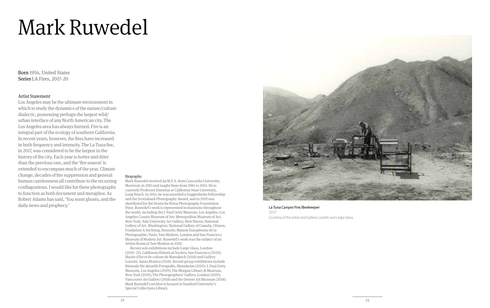## Mark Ruwedel

Born 1954, United States Series LA Fires, 2017−20

#### Artist Statement

Los Angeles may be the ultimate environment in which to study the dynamics of the nature/culture dialectic, possessing perhaps the largest wild/ urban interface of any North American city. The Los Angeles area has always burned. Fire is an integral part of the ecology of southern California. In recent years, however, the fires have increased in both frequency and intensity. The La Tuna fire, in 2017, was considered to be the largest in the history of the city. Each year is hotter and drier than the previous one, and the 'fire season' is extended to encompass much of the year. Climate change, decades of fire suppression and general human carelessness all contribute to the recurring conflagrations. I would like for these photographs to function as both document and metaphor. As Robert Adams has said, 'You want ghosts, and the daily news and prophecy.'

#### Biography

Mark Ruwedel received an M.F.A. from Concordia University, Montreal, in 1983 and taught there from 1984 to 2001. He is currently Professor Emeritus at California State University, Long Beach. In 2014, he was awarded a Guggenheim Fellowship and the Scotiabank Photography Award, and in 2019 was shortlisted for the Deutsche Börse Photography Foundation Prize. Ruwedel's work is represented in museums throughout the world, including the J. Paul Getty Museum, Los Angeles; Los Angeles County Museum of Art; Metropolitan Museum of Art, New York; Yale University Art Gallery, New Haven; National Gallery of Art, Washington; National Gallery of Canada, Ottawa; Fondation A Stichting, Brussels; Maison Européenne de la Photographie, Paris; Tate Modern, London and San Francisco Museum of Modern Art. Ruwedel's work was the subject of an Artists Room at Tate Modern in 2018.

Recent solo exhibitions include Large Glass, London (2020–21); California Historical Society, San Francisco (2019); Musée d'Art et de culture de Marrakech (2018) and Gallery Luisotti, Santa Monica (2018). Recent group exhibitions include Biennale für aktuelle Fotografie, Mannheim (2020); J. Paul Getty Museum, Los Angeles (2019); The Morgan Library & Museum, New York (2019); The Photographers' Gallery, London (2019); Vancouver Art Gallery (2018) and the Denver Art Museum (2018). Mark Ruwedel's archive is housed at Stanford University's Special Collections Library.



La Tuna Canyon Fire/Beekeeper 2017 Courtesy of the artist and Gallery Luisotti and Large Glass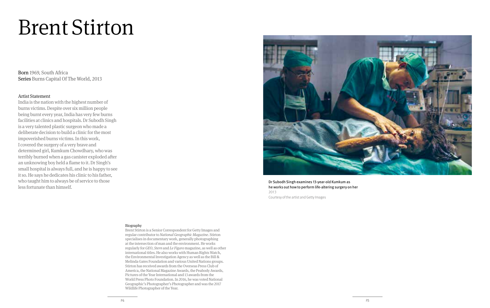### Brent Stirton

Born 1969, South Africa Series Burns Capital Of The World, 2013

#### Artist Statement

India is the nation with the highest number of burns victims. Despite over six million people being burnt every year, India has very few burns facilities at clinics and hospitals. Dr Subodh Singh is a very talented plastic surgeon who made a deliberate decision to build a clinic for the most impoverished burns victims. In this work, I covered the surgery of a very brave and determined girl, Kumkum Chowdhary, who was terribly burned when a gas canister exploded after an unknowing boy held a flame to it. Dr Singh's small hospital is always full, and he is happy to see it so. He says he dedicates his clinic to his father, who taught him to always be of service to those less fortunate than himself.



Dr Subodh Singh examines 13-year-old Kumkum as he works out how to perform life-altering surgery on her 2013 Courtesy of the artist and Getty Images

#### Biography

Brent Stirton is a Senior Correspondent for Getty Images and regular contributor to *National Geographic Magazine*. Stirton specialises in documentary work, generally photographing at the intersection of man and the environment. He works regularly for *GEO*, *Stern* and *Le Figaro* magazine, as well as other international titles. He also works with Human Rights Watch, the Environmental Investigation Agency as well as the Bill & Melinda Gates Foundation and various United Nations groups. Stirton has received awards from the Overseas Press Club of America, the National Magazine Awards, the Peabody Awards, Pictures of the Year International and 13 awards from the World Press Photo Foundation. In 2016, he was voted National Geographic's Photographer's Photographer and was the 2017 Wildlife Photographer of the Year.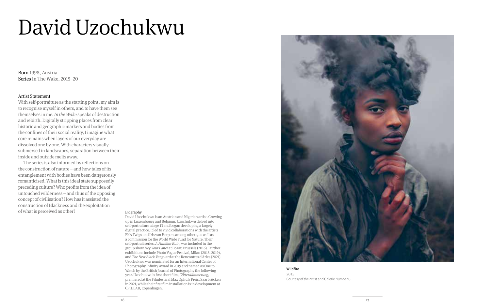## David Uzochukwu

Born 1998, Austria Series In The Wake, 2015–20

#### Artist Statement

With self-portraiture as the starting point, my aim is to recognise myself in others, and to have them see themselves in me. *In the Wake* speaks of destruction and rebirth. Digitally stripping places from clear historic and geographic markers and bodies from the confines of their social reality, I imagine what core remains when layers of our everyday are dissolved one by one. With characters visually submersed in landscapes, separation between their inside and outside melts away.

The series is also informed by reflections on the construction of nature – and how tales of its entanglement with bodies have been dangerously romanticised. What is this ideal state supposedly preceding culture? Who profits from the idea of untouched wilderness – and thus of the opposing concept of civilisation? How has it assisted the construction of Blackness and the exploitation of what is perceived as other? Biography

David Uzochukwu is an Austrian and Nigerian artist. Growing up in Luxembourg and Belgium, Uzochukwu delved into self-portraiture at age 13 and began developing a largely digital practice. It led to vivid collaborations with the artists FKA Twigs and Iris van Herpen, among others, as well as a commission for the World Wide Fund for Nature. Their self-portrait series, *A Familiar Ruin*, was included in the group show *Dey Your Lane!* at Bozar, Brussels (2016). Further exhibitions include Photo Vogue Festival, Milan (2018, 2019), and *The New Black Vanguard* at the Rencontres d'Arles (2021). Uzochukwu was nominated for an International Center of Photography Infinity Award in 2019 and named as One to Watch by the British Journal of Photography the following year. Uzochukwu's first short film, *Götterdämmerung*, premiered at the Filmfestival Max Ophüls Preis, Saarbrücken in 2021, while their first film installation is in development at CPH:LAB, Copenhagen.



**Wildfire** 2015 Courtesy of the artist and Galerie Number 8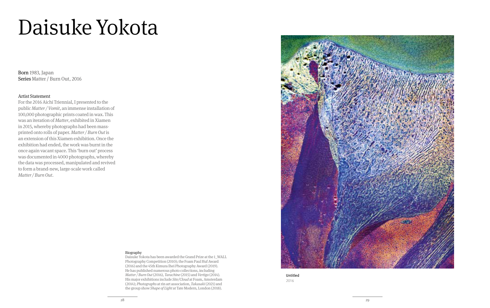## Daisuke Yokota

Born 1983, Japan Series Matter / Burn Out, 2016

#### Artist Statement

For the 2016 Aichi Triennial, I presented to the public *Matter / Vomit*, an immense installation of 100,000 photographic prints coated in wax. This was an iteration of *Matter*, exhibited in Xiamen in 2015, whereby photographs had been massprinted onto rolls of paper. *Matter / Burn Out* is an extension of this Xiamen exhibition. Once the exhibition had ended, the work was burnt in the once again vacant space. This 'burn out' process was documented in 4000 photographs, whereby the data was processed, manipulated and revived to form a brand-new, large-scale work called *Matter / Burn Out*.



#### Biography

Daisuke Yokota has been awarded the Grand Prize at the 1\_WALL Photography Competition (2010); the Foam Paul Huf Award (2016) and the 45th Kimura Ihei Photography Award (2019). He has published numerous photo collections, including *Matter / Burn Out* (2016), *Tarachine* (2015) and *Vertigo* (2014). His major exhibitions include *Site/Cloud* at Foam, Amsterdam (2014); *Photographs* at rin art association, *Takasaki* (2021) and the group show *Shape of Light* at Tate Modern, London (2018).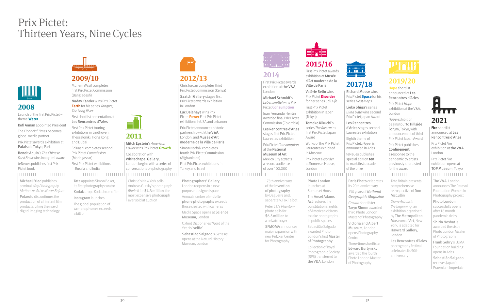### Prix Pictet: Thirteen Years, Nine Cycles



#### **2008**

Launch of the first Prix Pictet – theme **Water** Kofi Annan appointed President The Financial Times becomes global media partner Prix Pictet awards exhibition at Palais de Tokyo, Paris Benoit Aquin's The Chinese Dust Bowl wins inaugural award teNeues publishes first Prix Pictet book

Michael Fried publishes seminal Why Photography Matters as Art as Never Before

Polaroid discontinues the production of all instant film products, citing the rise of digital imaging technology

### mmddann

### **2009/10**

Munem Wasif completes first Prix Pictet Commission (Bangladesh) Nadav Kander wins Prix Pictet **Earth** for his series Yanatze,

The Long River First shortlist presentation at Les Rencontres d'Arles First Prix Pictet touring

**2011**

Mitch Epstein's American Power wins Prix Pictet **Growth** Collaboration with Whitechapel Gallery, London begins with a series of conversations on photography

Christie's New York sells Andreas Gursky's photograph Rhein II for \$4.3 million, the most expensive photograph ever sold at auction

exhibitions in Eindhoven, Thessaloniki, Hong Kong and Dubai Ed Kashi completes second Prix Pictet Commission (Madagascar) First Prix Pictet exhibitions in Russia and India

#### 

Tate appoints Simon Baker, its first photography curator Kodak drops Kodachrome film Instagram launches The global population of camera phones exceeds a billion



### **2012/13**

Chris Jordan completes third Prix Pictet Commission (Kenya) Saatchi Gallery stages first Prix Pictet awards exhibition in London

Luc Delahaye wins Prix Pictet **Power** First Prix Pictet exhibitions in USA and Lebanon

Prix Pictet announces historic partnership with the V&A, London, and Musée d'Art moderne de la Ville de Paris Simon Norfolk completes fourth Prix Pictet Commission (Afghanistan) First Prix Pictet exhibitions in Turkey and Israel

Photographers' Gallery, London reopens in a new purpose-designed space Annual number of mobile phone photographs exceeds those created with cameras Media Space opens at Science Museum, London Oxford Dictionaries' Word of the Year is 'selfie' Sebastião Salgado's Genesis opens at the Natural History Museum, London



Ville de Paris

**massa** 

First Prix Pictet

(Tokyo)

Award

in Moscow

at Somerset House, London

Photo London launches at Somerset House The Ansel Adams Act restores the constitutional rights of American citizens to take photographs in public spaces Sebastião Salgado awarded Photo London's first Master of Photography Collection of Royal Photographic Society (RPS) transferred to the V&A, London

### **2014**

First Prix Pictet awards exhibition at the V&A, London Michael Schmidt's Lebensmittel wins Prix Pictet **Consumption** Juan Fernando Herrán awarded final Prix Pictet Commission (Colombia) Les Rencontres d'Arles stages first Prix Pictet Laureates exhibition Prix Pictet Consumption at the National Museum of Art, Mexico City attracts a record audience of over 100,000 . . . . . . . . . . . . . . . . . . . . 

175th anniversary of the invention of photography by Daguerre and, separately, Fox Talbot Peter Lik's Phantom photo sells for \$6.5 million to a private buyer SFMOMA announces major expansion with new Pritzker Center for Photography



#### First Prix Pictet awards للبالج كالد exhibition at Musée d'Art moderne de la **2017/18** Valérie Belin wins Richard Mossewins Prix Pictet **Disorder** Prix Pictet **Space** for his for her series Still Life series Heat Maps Lieko Shiga's series exhibition in Japan Blind Date wins second Prix Pictet Japan Award Tomoko Kikuchi's Les Rencontres series The River wins d'Arles stages second first Prix Pictet Japan Laureates exhibition Eighth theme of Works of the Prix Pictet Laureates exhibited Prix Pictet Disorder

of the prize

Prix Pictet, Hope, is announced in Arles teNeues publishes special edition **ten** to mark first decade

Paris Photo celebrates its 20th anniversary comprehensive 130 years of National McCullin Geographic Magazine Diane Arbus: in Growth shortlister Taryn Simon awarded the beginning, an third Photo London Master of Photography Victoria and Albert Museum, London opens Photography London Centre Three-time shortlister Edward Burtynsky awarded the fourth Photo London Master of Photography



#### **2019/20**

**Hope** shortlist announced at Les Rencontres d'Arles Prix Pictet Hope exhibition at the V&A, London Hope exhibition begins tour to Hillside Forum, Tokyo, with announcement of third Prix Pictet Japan Award Prix Pictet publishes **Confinement**, a response to the pandemic by artists previously shortlisted for the award

#### TOP Museum, Tokyo

**2021 Fire** shortlist announced at Les Rencontres d'Arles Prix Pictet Fire exhibition at the V&A, London Prix Pictet Fire exhibition opens at

E TERR

Tate Britain presents retrospective of Don exhibition organised The V&A, London announces The Parasol Foundation Women in Photography project Photo London successfully opens after 18 month pandemic delay Shirin Neshat is awarded the sixth Photo London Master of Photography Frank Gehry's LUMA Foundation building opens in Arles Sebastião Salgado

receives Japan's Praemium Imperiale

by The Metropolitan Museum of Art, New York, is adapted for Hayward Gallery, Les Rencontres d'Arles photography festival celebrates its 50th anniversary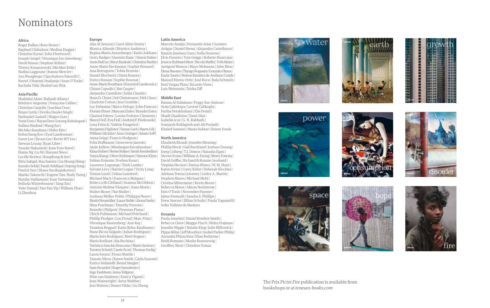### Nominators

#### **Africa**

Roger Ballen | Rory Bester | Raphael Chikukwa | Medina Dugger | Christine Eyene | John Fleetwood | Joseph Gergel | Véronique Joo Aisenberg | David Knaus | Stephan Köhler | Thierry Konarzewski | Michket Krifa | Nadira Laggoune | Jeanne Mercier | Azu Nwagbogu | Ugochukwu-Smooth C. Nzewi | Oluremi Onabanjo | Sean O'Toole | Rachida Triki | Roelof van Wyk

#### **Asia Pacific**

Shahidul Alam | Rahaab Allana | Bérénice Angremy | Françoise Callier | Christian Caujolle | Joselina Cruz | Brian Curtin | Devika Daulet-Singh | Nathaniel Gaskell | Shigeo Goto | Yumi Goto | NayanTara Gurung Kakshapati | Salima Hashmi | Wang Jun | Michiko Kasahara | Shiho Kito | Bohnchang Koo | Eyal Landesman | Gwen Lee | Jiyoon Lee | Kevin WY Lee | Szewan Leung | Ryan Libre | Yusuke Nakanishi | Jean-Yves Navel | Elaine Ng | Lu Ni | Harumi Niwa | Lucille Reyboz | RongRong & Inri | Bittu Sahgal | Raz Samira | Liu Heung Shing | Kazuko Sekiji | Farah Siddiqui | Sujong Song | Patrick Sun | Shane Suvikapakornul | Mariko Takeuchi | Eugene Tan | Rudy Tseng | Harsha Vadlamani | Ivan Vartanian | Belinda Winterbourne | Tang Xin | Yuko Yamaji | Yan-Yan Yip | William Zhao | Li Zhenhua

#### **Europe**

Alia Al-Senussi | Carol Allen-Storey | Monica Allende | Béatrice Andrieux | Regina Maria Anzenberger | Karin Askham | Gerry Badger | Quentin Bajac | Simon Baker | Arnis Balčus | Sheyi Bankale | Christine Barthe | Anne-Marie Beckmann | Sophie Bernard | Ana Berruguete | Tobia Bezzola | Daniel Blochwitz | Daria Bonera | Enrico Bossan | Sophie Boursat | Anne-Marie Bouttiaux | Krzysztof Candrowicz | Chiara Capodici | Jim Casper | Alejandro Castellote | Zelda Cheatle | Hans D. Christ | Zoë Christensen | Dirk Claus | Charlotte Cotton | Jess Crombie | Luc Debraine | Marco Delogu | John Duncan | Florian Ebner | Maryam Eisler | Brandei Estes | Chantal Fabres | Louise Fedotov-Clements | Marcel Feil | Eva Fisli | Andrzej P. Florkowski | Lena Fritsch | Valérie Fougeirol | Benjamin Füglister | Tamar Garb | Marta Gili | William Gilchrist | Arno Gisinger | Adam Goff | Anna Gripp | Francis Hodgson | Felix Hoffmann | Genevieve Janvrin | Alain Jullien | Mindaugas Kavaliauskas | Klaus Kehrer | Hester Keijser | Sarah Kenderdine | Tanya Kiang | Oliver Kielmayer | Simone Klein | Fabian Knierim | Evelien Kunst | Laurence Lagrange | Trish Lambe | Sylvain Lévy | Harriet Logan | Vicky Long | Tristan Lund | Celina Lunsford | Michael Mack | Francesca Malgara | Rebecca McClelland | Seamus McGibbon | Antonio Molina-Vázquez | Anne Morin | Walter Moser | Nat Muller | Andreas Müller-Pohle | Philippa Neave | Moritz Neumüller | Laura Noble | Alona Pardo | Nina Pearlman | Timothy Persons | Benedict Philpott | Fiorenza Pinna | Ulrich Pohlmann | Michael Pritchard | Phillip Prodger | Lou Proud | Marc Prüst | Véronique Rautenberg | Ann Ray | Yasmina Reggad | Karin Rehn-Kaufmann | Nuno Ricou Salgado | Julian Rodriguez | María Inés Rodríguez | Brett Rogers | Mario Rotllant | Ida Ruchina | Verónica Sanchis Bencomo | Mario Santoro | Torsten Scheid | Carrie Scott | Thomas Seelig | Laura Serani | Fiona Shields | Tamsin Silvey | Karen Smith | Carla Sozzani | Enrico Stefanelli | Bernd Stiegler | Sam Stourdzé | Roger Szmulewicz | Ingo Taubhorn | Anna Tellgren | Wim van Sinderen | Enrica Viganò | Jean Wainwright | Artur Walther | Jeni Walwin | Demet Yildiz | Gu Zheng

#### **Latin America**

Marcelo Araújo | Fernando Arias | Gustavo Artigas | Daniel Brena | Alejandro Castellanos | Ramón Jiménez Cuen | Sofía Dourron | Elvis Fuentes | Tom Griggs | Roberto Huarcaya | Jessica Hubbard Marr | Nicola Maffei | Tobi Maier | Antigoni Memou | Mayu Mohanna | John Mraz | Elena Navarro | Thyago Nogueira | Gonzalo Olmos | Karla Osorio | Nelson Ramírez de Arellano Conde | Manuel Rivera-Ortiz | José Roca | Itala Schmelz | Itzel Vargas Plata | Ricardo Viera | Luis Weinstein | Trisha Ziff

#### **Middle East**

Basma Al Sulaiman | Peggy Sue Amison | Sena Çakirkaya | Levent Calikoglu | Fariba Derakhshani | Elie Domit | Shadi Ghadirian | Tami Gilat | Isabella Icoz | G. H. Rabbath | Somayeh Rokhgireh and Ali Pooladi | Khaled Samawi | Maria Sukkar | Sinem Yoruk

#### **North America**

Elisabeth Biondi | Jennifer Blessing | Phillip Block | Gail Buckland | Joshua Chuang | Joerg Colberg | T.J. Demos | Natasha Egan | Steven Evans | William A. Ewing | Merry Foresta | David Griffin | Richard & Ronnie Grosbard | Virginia Heckert | Darius Himes | W. M. Hunt | Karen Irvine | Corey Keller | Deborah Klochko | Adriana Teresa Letorney | Lesley A. Martin | Stephen Mayes | Michael Mehl | Cristina Mittermeier | Kevin Moore | Rebecca Morse | Alison Nordstrom | Erin O'Toole | November Paynter | Jaime Permuth | Sandra S. Phillips | Drew Sawyer | Jillian Schultz | Paula Tognarelli | Sofia Vollmer de Maduro

#### **Oceania**

Paola Anselmi | Daniel Boetker-Smith | Rebecca Chew | Maggie Finch | Helen Frajman | Jennifer Higgie | Natalie King | Julie Millowick | Pippa Milne | Jeff Moorfoot | Isobel Parker Philip | Anouska Phizacklea | Elias Redstone | Heidi Romano | Moshe Rosenzveig | Geoffrey Short | Christine Tomas





| <b>MARBARA MARBARA 2010</b> |  |  |  |
|-----------------------------|--|--|--|
|                             |  |  |  |
|                             |  |  |  |













The Prix Pictet *Fire* publication is available from bookshops or at *teneues-books.com*